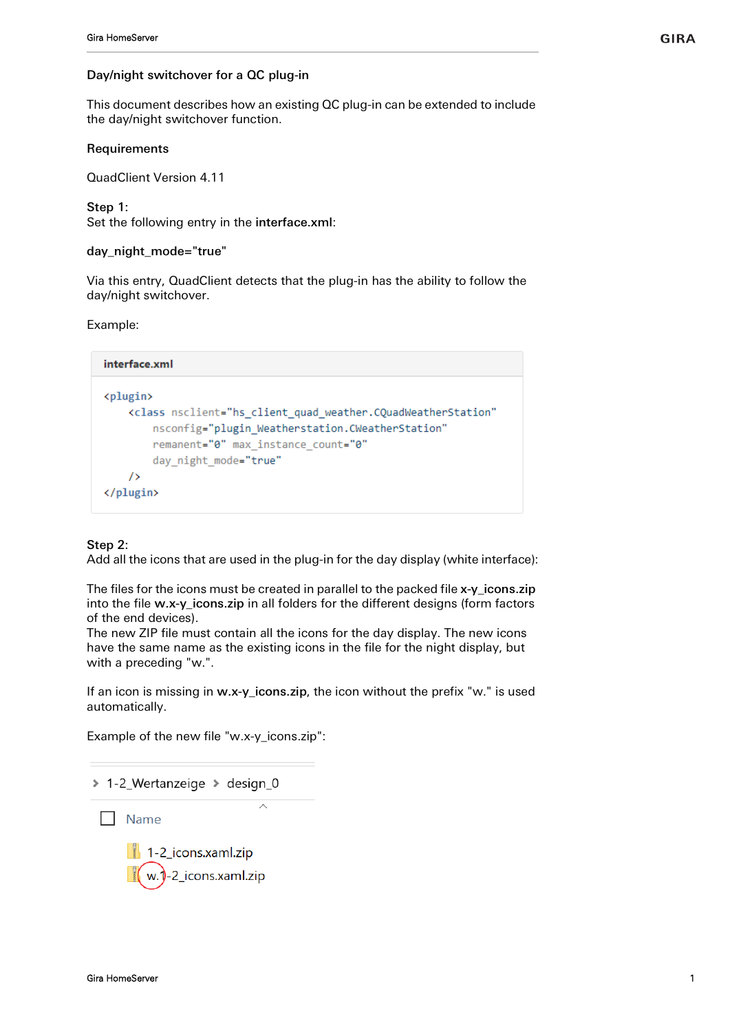This document describes how an existing QC plug-in can be extended to include the day/night switchover function.

#### **Requirements**

QuadClient Version 4.11

Step 1:

Set the following entry in the interface.xml:

#### day night mode="true"

Via this entry, QuadClient detects that the plug-in has the ability to follow the day/night switchover.

Example:

```
interface.xml
<plugin>
    <class nsclient="hs client quad weather.CQuadWeatherStation"
        nsconfig="plugin Weatherstation.CWeatherStation"
        remanent="0" max instance count="0"
        day night mode="true"
    \rightarrow</plugin>
```
# Step 2:

Add all the icons that are used in the plug-in for the day display (white interface):

The files for the icons must be created in parallel to the packed file x-y\_icons.zip into the file w.x-y\_icons.zip in all folders for the different designs (form factors of the end devices).

The new ZIP file must contain all the icons for the day display. The new icons have the same name as the existing icons in the file for the night display, but with a preceding "w.".

If an icon is missing in w.x-y\_icons.zip, the icon without the prefix "w." is used automatically.

Example of the new file "w.x-y\_icons.zip":

```
> 1-2_Wertanzeige > design_0
```
 $\Box$  Name

 $\Box$  1-2 icons.xaml.zip w.1-2\_icons.xaml.zip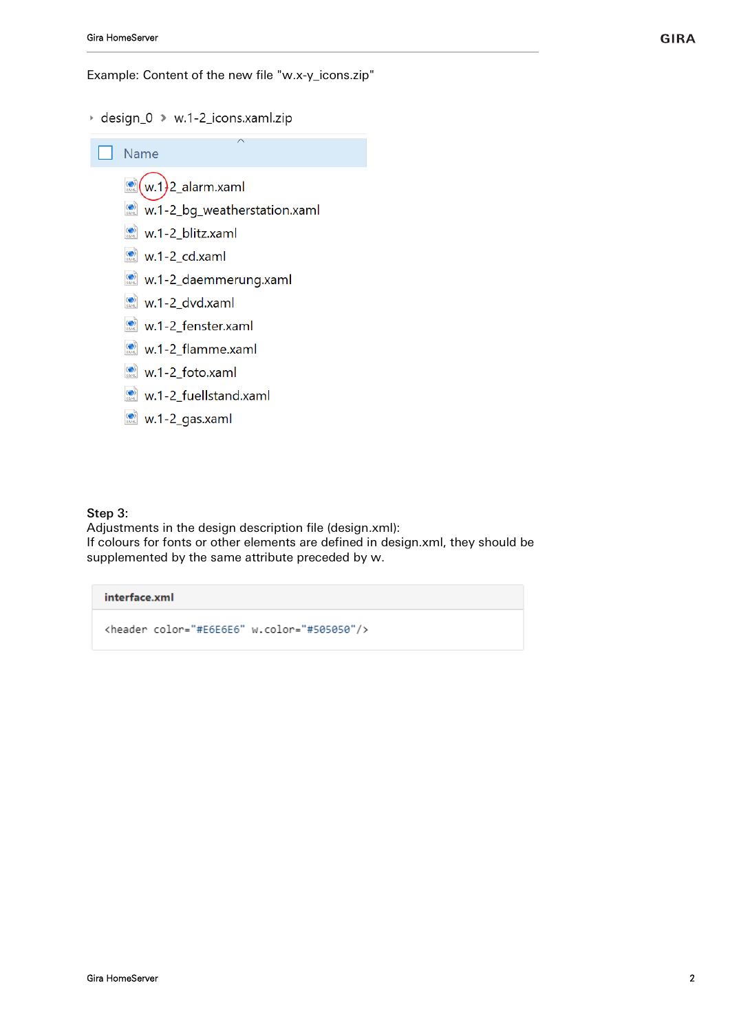Example: Content of the new file "w.x-y icons.zip"

+ design\_0 → w.1-2\_icons.xaml.zip



w.1-2\_gas.xaml

# Step 3:

Adjustments in the design description file (design.xml): If colours for fonts or other elements are defined in design.xml, they should be supplemented by the same attribute preceded by w.

# interface.xml

<header color="#E6E6E6" w.color="#505050"/>